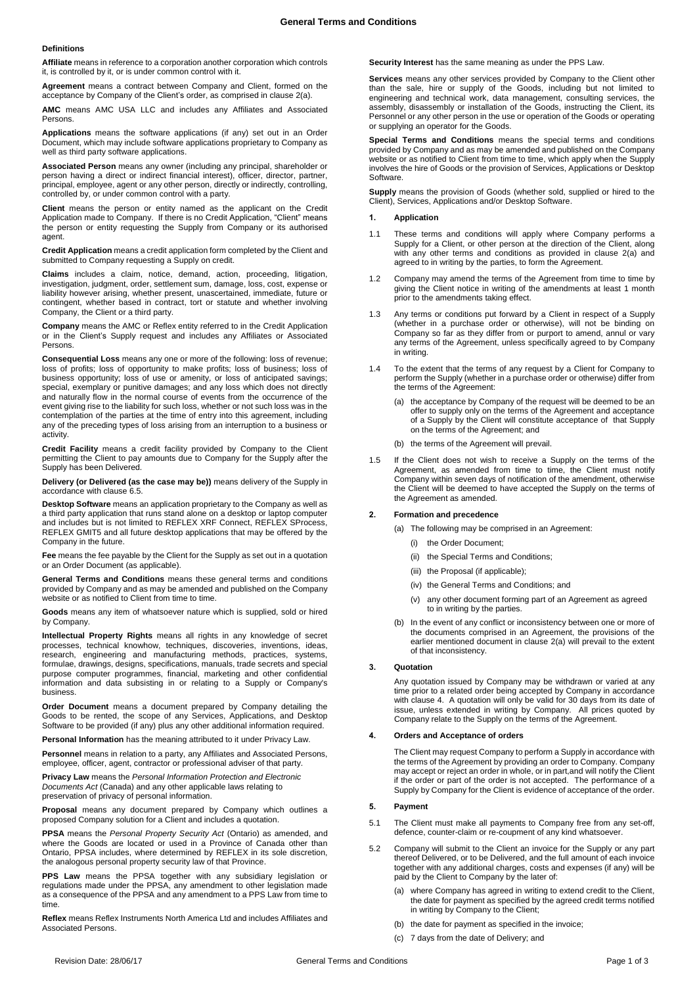### **Definitions**

**Affiliate** means in reference to a corporation another corporation which controls it, is controlled by it, or is under common control with it.

**Agreement** means a contract between Company and Client, formed on the acceptance by Company of the Client's order, as comprised in claus[e 2\(a\).](#page-0-0)

**AMC** means AMC USA LLC and includes any Affiliates and Associated Persons.

**Applications** means the software applications (if any) set out in an Order Document, which may include software applications proprietary to Company as well as third party software applications.

**Associated Person** means any owner (including any principal, shareholder or person having a direct or indirect financial interest), officer, director, partner, principal, employee, agent or any other person, directly or indirectly, controlling, controlled by, or under common control with a party.

**Client** means the person or entity named as the applicant on the Credit Application made to Company. If there is no Credit Application, "Client" means the person or entity requesting the Supply from Company or its authorised agent.

**Credit Application** means a credit application form completed by the Client and submitted to Company requesting a Supply on credit.

**Claims** includes a claim, notice, demand, action, proceeding, litigation, investigation, judgment, order, settlement sum, damage, loss, cost, expense or liability however arising, whether present, unascertained, immediate, future or contingent, whether based in contract, tort or statute and whether involving Company, the Client or a third party.

**Company** means the AMC or Reflex entity referred to in the Credit Application or in the Client's Supply request and includes any Affiliates or Associated Persons.

**Consequential Loss** means any one or more of the following: loss of revenue; loss of profits; loss of opportunity to make profits; loss of business; loss of business opportunity; loss of use or amenity, or loss of anticipated savings; special, exemplary or punitive damages; and any loss which does not directly and naturally flow in the normal course of events from the occurrence of the event giving rise to the liability for such loss, whether or not such loss was in the contemplation of the parties at the time of entry into this agreement, including any of the preceding types of loss arising from an interruption to a business or activity.

**Credit Facility** means a credit facility provided by Company to the Client permitting the Client to pay amounts due to Company for the Supply after the Supply has been Delivered.

**Delivery (or Delivered (as the case may be))** means delivery of the Supply in accordance with claus[e 6.5.](#page-1-0)

**Desktop Software** means an application proprietary to the Company as well as a third party application that runs stand alone on a desktop or laptop computer and includes but is not limited to REFLEX XRF Connect, REFLEX SProcess, REFLEX GMIT5 and all future desktop applications that may be offered by the Company in the future.

**Fee** means the fee payable by the Client for the Supply as set out in a quotation or an Order Document (as applicable).

**General Terms and Conditions** means these general terms and conditions provided by Company and as may be amended and published on the Company website or as notified to Client from time to time.

**Goods** means any item of whatsoever nature which is supplied, sold or hired by Company.

**Intellectual Property Rights** means all rights in any knowledge of secret processes, technical knowhow, techniques, discoveries, inventions, ideas, research, engineering and manufacturing methods, practices, systems, formulae, drawings, designs, specifications, manuals, trade secrets and special purpose computer programmes, financial, marketing and other confidential information and data subsisting in or relating to a Supply or Company's business.

**Order Document** means a document prepared by Company detailing the Goods to be rented, the scope of any Services, Applications, and Desktop Software to be provided (if any) plus any other additional information required.

**Personal Information** has the meaning attributed to it under Privacy Law.

**Personnel** means in relation to a party, any Affiliates and Associated Persons, employee, officer, agent, contractor or professional adviser of that party.

**Privacy Law** means the *Personal Information Protection and Electronic Documents Act* (Canada) and any other applicable laws relating to preservation of privacy of personal information.

**Proposal** means any document prepared by Company which outlines a proposed Company solution for a Client and includes a quotation.

**PPSA** means the *Personal Property Security Act* (Ontario) as amended, and where the Goods are located or used in a Province of Canada other than Ontario, PPSA includes, where determined by REFLEX in its sole discretion, the analogous personal property security law of that Province.

**PPS Law** means the PPSA together with any subsidiary legislation or regulations made under the PPSA, any amendment to other legislation made as a consequence of the PPSA and any amendment to a PPS Law from time to time.

**Reflex** means Reflex Instruments North America Ltd and includes Affiliates and Associated Persons.

**Security Interest** has the same meaning as under the PPS Law.

**Services** means any other services provided by Company to the Client other than the sale, hire or supply of the Goods, including but not limited to engineering and technical work, data management, consulting services, the assembly, disassembly or installation of the Goods, instructing the Client, its Personnel or any other person in the use or operation of the Goods or operating or supplying an operator for the Goods.

**Special Terms and Conditions** means the special terms and conditions provided by Company and as may be amended and published on the Company website or as notified to Client from time to time, which apply when the Supply involves the hire of Goods or the provision of Services, Applications or Desktop Software.

**Supply** means the provision of Goods (whether sold, supplied or hired to the Client), Services, Applications and/or Desktop Software.

# **1. Application**

- 1.1 These terms and conditions will apply where Company performs a Supply for a Client, or other person at the direction of the Client, along with any other terms and conditions as provided in clause 2(a) and agreed to in writing by the parties, to form the Agreement.
- 1.2 Company may amend the terms of the Agreement from time to time by giving the Client notice in writing of the amendments at least 1 month prior to the amendments taking effect.
- 1.3 Any terms or conditions put forward by a Client in respect of a Supply (whether in a purchase order or otherwise), will not be binding on Company so far as they differ from or purport to amend, annul or vary any terms of the Agreement, unless specifically agreed to by Company in writing.
- 1.4 To the extent that the terms of any request by a Client for Company to perform the Supply (whether in a purchase order or otherwise) differ from the terms of the Agreement:
	- (a) the acceptance by Company of the request will be deemed to be an offer to supply only on the terms of the Agreement and acceptance of a Supply by the Client will constitute acceptance of that Supply on the terms of the Agreement; and
	- (b) the terms of the Agreement will prevail.
- 1.5 If the Client does not wish to receive a Supply on the terms of the Agreement, as amended from time to time, the Client must notify Company within seven days of notification of the amendment, otherwise the Client will be deemed to have accepted the Supply on the terms of the Agreement as amended.

#### <span id="page-0-0"></span>**2. Formation and precedence**

- (a) The following may be comprised in an Agreement:
	- (i) the Order Document;
	- (ii) the Special Terms and Conditions;
	- (iii) the Proposal (if applicable);
	- (iv) the General Terms and Conditions; and
	- (v) any other document forming part of an Agreement as agreed to in writing by the parties.
- (b) In the event of any conflict or inconsistency between one or more of the documents comprised in an Agreement, the provisions of the earlier mentioned document in clause [2\(a\)](#page-0-0) will prevail to the extent of that inconsistency.

### **3. Quotation**

Any quotation issued by Company may be withdrawn or varied at any time prior to a related order being accepted by Company in accordance with claus[e 4.](#page-0-1) A quotation will only be valid for 30 days from its date of issue, unless extended in writing by Company. All prices quoted by Company relate to the Supply on the terms of the Agreement.

# <span id="page-0-1"></span>**4. Orders and Acceptance of orders**

The Client may request Company to perform a Supply in accordance with the terms of the Agreement by providing an order to Company. Company may accept or reject an order in whole, or in part,and will notify the Client if the order or part of the order is not accepted. The performance of a Supply by Company for the Client is evidence of acceptance of the order.

#### **5. Payment**

- 5.1 The Client must make all payments to Company free from any set-off, defence, counter-claim or re-coupment of any kind whatsoever.
- 5.2 Company will submit to the Client an invoice for the Supply or any part thereof Delivered, or to be Delivered, and the full amount of each invoice together with any additional charges, costs and expenses (if any) will be paid by the Client to Company by the later of:
	- (a) where Company has agreed in writing to extend credit to the Client, the date for payment as specified by the agreed credit terms notified in writing by Company to the Client;
	- (b) the date for payment as specified in the invoice;
	- (c) 7 days from the date of Delivery; and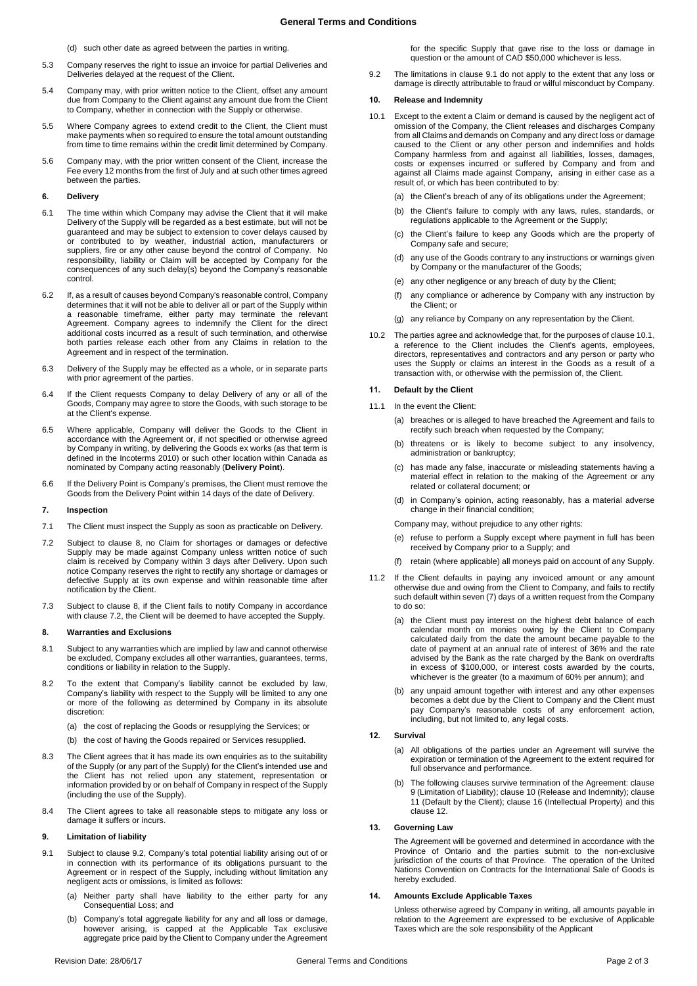**General Terms and Conditions**

(d) such other date as agreed between the parties in writing.

- 5.3 Company reserves the right to issue an invoice for partial Deliveries and Deliveries delayed at the request of the Client.
- 5.4 Company may, with prior written notice to the Client, offset any amount due from Company to the Client against any amount due from the Client to Company, whether in connection with the Supply or otherwise.
- 5.5 Where Company agrees to extend credit to the Client, the Client must make payments when so required to ensure the total amount outstanding from time to time remains within the credit limit determined by Company.
- 5.6 Company may, with the prior written consent of the Client, increase the Fee every 12 months from the first of July and at such other times agreed between the parties.

### **6. Delivery**

- 6.1 The time within which Company may advise the Client that it will make Delivery of the Supply will be regarded as a best estimate, but will not be guaranteed and may be subject to extension to cover delays caused by or contributed to by weather, industrial action, manufacturers or suppliers, fire or any other cause beyond the control of Company. No responsibility, liability or Claim will be accepted by Company for the consequences of any such delay(s) beyond the Company's reasonable control.
- 6.2 If, as a result of causes beyond Company's reasonable control, Company determines that it will not be able to deliver all or part of the Supply within a reasonable timeframe, either party may terminate the relevant Agreement. Company agrees to indemnify the Client for the direct additional costs incurred as a result of such termination, and otherwise both parties release each other from any Claims in relation to the Agreement and in respect of the termination.
- 6.3 Delivery of the Supply may be effected as a whole, or in separate parts with prior agreement of the parties.
- 6.4 If the Client requests Company to delay Delivery of any or all of the Goods, Company may agree to store the Goods, with such storage to be at the Client's expense.
- <span id="page-1-0"></span>6.5 Where applicable, Company will deliver the Goods to the Client in accordance with the Agreement or, if not specified or otherwise agreed by Company in writing, by delivering the Goods ex works (as that term is defined in the Incoterms 2010) or such other location within Canada as nominated by Company acting reasonably (**Delivery Point**).
- 6.6 If the Delivery Point is Company's premises, the Client must remove the Goods from the Delivery Point within 14 days of the date of Delivery.

# **7. Inspection**

- 7.1 The Client must inspect the Supply as soon as practicable on Delivery.
- <span id="page-1-2"></span>7.2 Subject to clause [8,](#page-1-1) no Claim for shortages or damages or defective Supply may be made against Company unless written notice of such claim is received by Company within 3 days after Delivery. Upon such notice Company reserves the right to rectify any shortage or damages or defective Supply at its own expense and within reasonable time after notification by the Client.
- 7.3 Subject to clause [8,](#page-1-1) if the Client fails to notify Company in accordance with clause [7.2,](#page-1-2) the Client will be deemed to have accepted the Supply.

# <span id="page-1-1"></span>**8. Warranties and Exclusions**

- 8.1 Subject to any warranties which are implied by law and cannot otherwise be excluded, Company excludes all other warranties, guarantees, terms, conditions or liability in relation to the Supply.
- 8.2 To the extent that Company's liability cannot be excluded by law, Company's liability with respect to the Supply will be limited to any one or more of the following as determined by Company in its absolute discretion:
	- (a) the cost of replacing the Goods or resupplying the Services; or
	- (b) the cost of having the Goods repaired or Services resupplied.
- 8.3 The Client agrees that it has made its own enquiries as to the suitability of the Supply (or any part of the Supply) for the Client's intended use and the Client has not relied upon any statement, representation or information provided by or on behalf of Company in respect of the Supply (including the use of the Supply).
- 8.4 The Client agrees to take all reasonable steps to mitigate any loss or damage it suffers or incurs.

# <span id="page-1-6"></span>**9. Limitation of liability**

- <span id="page-1-4"></span>9.1 Subject to clause [9.2,](#page-1-3) Company's total potential liability arising out of or in connection with its performance of its obligations pursuant to the Agreement or in respect of the Supply, including without limitation any negligent acts or omissions, is limited as follows:
	- (a) Neither party shall have liability to the either party for any Consequential Loss; and
	- Company's total aggregate liability for any and all loss or damage, however arising, is capped at the Applicable Tax exclusive aggregate price paid by the Client to Company under the Agreement

for the specific Supply that gave rise to the loss or damage in question or the amount of CAD \$50,000 whichever is less.

<span id="page-1-3"></span>9.2 The limitations in clause [9.1](#page-1-4) do not apply to the extent that any loss or damage is directly attributable to fraud or wilful misconduct by Company.

### <span id="page-1-7"></span>**10. Release and Indemnity**

- <span id="page-1-5"></span>10.1 Except to the extent a Claim or demand is caused by the negligent act of omission of the Company, the Client releases and discharges Company from all Claims and demands on Company and any direct loss or damage caused to the Client or any other person and indemnifies and holds Company harmless from and against all liabilities, losses, damages, costs or expenses incurred or suffered by Company and from and against all Claims made against Company, arising in either case as a result of, or which has been contributed to by:
	- (a) the Client's breach of any of its obligations under the Agreement;
	- (b) the Client's failure to comply with any laws, rules, standards, or regulations applicable to the Agreement or the Supply;
	- (c) the Client's failure to keep any Goods which are the property of Company safe and secure;
	- (d) any use of the Goods contrary to any instructions or warnings given by Company or the manufacturer of the Goods;
	- (e) any other negligence or any breach of duty by the Client;
	- (f) any compliance or adherence by Company with any instruction by the Client; or
	- (g) any reliance by Company on any representation by the Client.
- 10.2 The parties agree and acknowledge that, for the purposes of claus[e 10.1,](#page-1-5)  a reference to the Client includes the Client's agents, employees, directors, representatives and contractors and any person or party who uses the Supply or claims an interest in the Goods as a result of a transaction with, or otherwise with the permission of, the Client.

# <span id="page-1-8"></span>**11. Default by the Client**

- 11.1 In the event the Client:
	- (a) breaches or is alleged to have breached the Agreement and fails to rectify such breach when requested by the Company;
	- (b) threatens or is likely to become subject to any insolvency, administration or bankruptcy;
	- (c) has made any false, inaccurate or misleading statements having a material effect in relation to the making of the Agreement or any related or collateral document; or
	- (d) in Company's opinion, acting reasonably, has a material adverse change in their financial condition;

Company may, without prejudice to any other rights:

- (e) refuse to perform a Supply except where payment in full has been received by Company prior to a Supply; and
- (f) retain (where applicable) all moneys paid on account of any Supply.
- 11.2 If the Client defaults in paying any invoiced amount or any amount otherwise due and owing from the Client to Company, and fails to rectify such default within seven (7) days of a written request from the Company to do so:
	- (a) the Client must pay interest on the highest debt balance of each calendar month on monies owing by the Client to Company calculated daily from the date the amount became payable to the date of payment at an annual rate of interest of 36% and the rate advised by the Bank as the rate charged by the Bank on overdrafts in excess of \$100,000, or interest costs awarded by the courts, whichever is the greater (to a maximum of 60% per annum); and
	- (b) any unpaid amount together with interest and any other expenses becomes a debt due by the Client to Company and the Client must pay Company's reasonable costs of any enforcement action, including, but not limited to, any legal costs.

#### <span id="page-1-9"></span>**12. Survival**

- (a) All obligations of the parties under an Agreement will survive the expiration or termination of the Agreement to the extent required for full observance and performance.
- (b) The following clauses survive termination of the Agreement: clause [9](#page-1-6) (Limitation of Liability); clause [10](#page-1-7) (Release and Indemnity); clause [11](#page-1-8) (Default by the Client); clause 16 (Intellectual Property) and this claus[e 12.](#page-1-9)

### **13. Governing Law**

The Agreement will be governed and determined in accordance with the Province of Ontario and the parties submit to the non-exclusive jurisdiction of the courts of that Province. The operation of the United Nations Convention on Contracts for the International Sale of Goods is hereby excluded.

### **14. Amounts Exclude Applicable Taxes**

Unless otherwise agreed by Company in writing, all amounts payable in relation to the Agreement are expressed to be exclusive of Applicable Taxes which are the sole responsibility of the Applicant